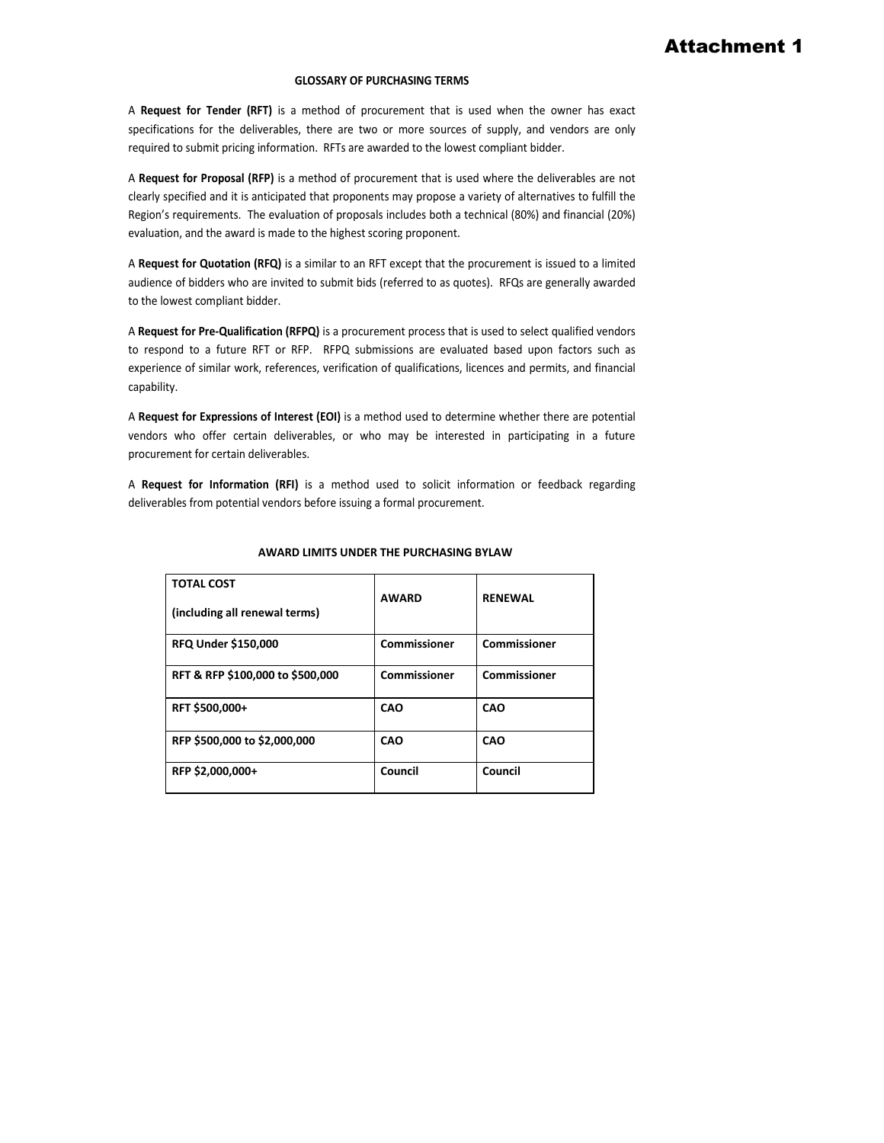#### **GLOSSARY OF PURCHASING TERMS**

 specifications for the deliverables, there are two or more sources of supply, and vendors are only required to submit pricing information. RFTs are awarded to the lowest compliant bidder. A **Request for Tender (RFT)** is a method of procurement that is used when the owner has exact

 A **Request for Proposal (RFP)** is a method of procurement that is used where the deliverables are not clearly specified and it is anticipated that proponents may propose a variety of alternatives to fulfill the Region's requirements. The evaluation of proposals includes both a technical (80%) and financial (20%) evaluation, and the award is made to the highest scoring proponent.

 A **Request for Quotation (RFQ)** is a similar to an RFT except that the procurement is issued to a limited audience of bidders who are invited to submit bids (referred to as quotes). RFQs are generally awarded to the lowest compliant bidder.

 A **Request for Pre-Qualification (RFPQ)** is a procurement process that is used to select qualified vendors to respond to a future RFT or RFP. RFPQ submissions are evaluated based upon factors such as experience of similar work, references, verification of qualifications, licences and permits, and financial capability.

 A **Request for Expressions of Interest (EOI)** is a method used to determine whether there are potential vendors who offer certain deliverables, or who may be interested in participating in a future procurement for certain deliverables.

 A **Request for Information (RFI)** is a method used to solicit information or feedback regarding deliverables from potential vendors before issuing a formal procurement.

| <b>TOTAL COST</b><br>(including all renewal terms) | <b>AWARD</b> | <b>RENEWAL</b> |
|----------------------------------------------------|--------------|----------------|
| <b>RFQ Under \$150,000</b>                         | Commissioner | Commissioner   |
| RFT & RFP \$100,000 to \$500,000                   | Commissioner | Commissioner   |
| RFT \$500,000+                                     | CAO          | CAO            |
| RFP \$500,000 to \$2,000,000                       | CAO          | CAO            |
| RFP \$2,000,000+                                   | Council      | Council        |

#### **AWARD LIMITS UNDER THE PURCHASING BYLAW**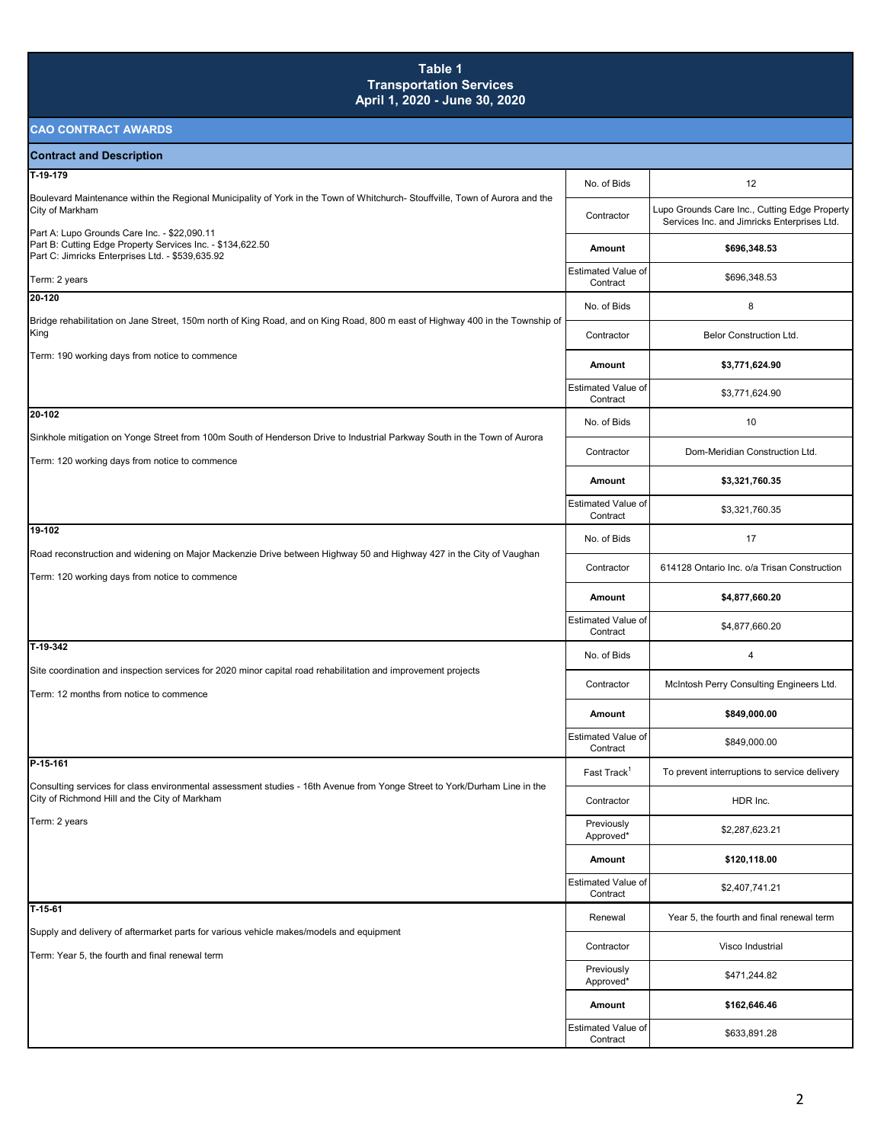### **Table 1 Transportation Services April 1, 2020 - June 30, 2020**

| <b>Contract and Description</b>                                                                                                                                            |                                       |                                                                                              |
|----------------------------------------------------------------------------------------------------------------------------------------------------------------------------|---------------------------------------|----------------------------------------------------------------------------------------------|
| T-19-179                                                                                                                                                                   | No. of Bids                           | 12                                                                                           |
| Boulevard Maintenance within the Regional Municipality of York in the Town of Whitchurch-Stouffville, Town of Aurora and the<br>City of Markham                            | Contractor                            | Lupo Grounds Care Inc., Cutting Edge Property<br>Services Inc. and Jimricks Enterprises Ltd. |
| Part A: Lupo Grounds Care Inc. - \$22,090.11<br>Part B: Cutting Edge Property Services Inc. - \$134,622.50<br>Part C: Jimricks Enterprises Ltd. - \$539,635.92             | Amount                                | \$696,348.53                                                                                 |
| Term: 2 years                                                                                                                                                              | <b>Estimated Value of</b><br>Contract | \$696,348.53                                                                                 |
| 20-120                                                                                                                                                                     | No. of Bids                           | 8                                                                                            |
| Bridge rehabilitation on Jane Street, 150m north of King Road, and on King Road, 800 m east of Highway 400 in the Township of<br>King                                      | Contractor                            | <b>Belor Construction Ltd.</b>                                                               |
| Term: 190 working days from notice to commence                                                                                                                             | Amount                                | \$3,771,624.90                                                                               |
|                                                                                                                                                                            | <b>Estimated Value of</b><br>Contract | \$3,771,624.90                                                                               |
| 20-102                                                                                                                                                                     | No. of Bids                           | 10                                                                                           |
| Sinkhole mitigation on Yonge Street from 100m South of Henderson Drive to Industrial Parkway South in the Town of Aurora<br>Term: 120 working days from notice to commence | Contractor                            | Dom-Meridian Construction Ltd.                                                               |
|                                                                                                                                                                            | Amount                                | \$3,321,760.35                                                                               |
|                                                                                                                                                                            | <b>Estimated Value of</b><br>Contract | \$3,321,760.35                                                                               |
| 19-102                                                                                                                                                                     | No. of Bids                           | 17                                                                                           |
| Road reconstruction and widening on Major Mackenzie Drive between Highway 50 and Highway 427 in the City of Vaughan<br>Term: 120 working days from notice to commence      | Contractor                            | 614128 Ontario Inc. o/a Trisan Construction                                                  |
|                                                                                                                                                                            | Amount                                | \$4,877,660.20                                                                               |
|                                                                                                                                                                            | Estimated Value of<br>Contract        | \$4,877,660.20                                                                               |
| T-19-342                                                                                                                                                                   | No. of Bids                           | 4                                                                                            |
| Site coordination and inspection services for 2020 minor capital road rehabilitation and improvement projects<br>Term: 12 months from notice to commence                   | Contractor                            | McIntosh Perry Consulting Engineers Ltd.                                                     |
|                                                                                                                                                                            | Amount                                | \$849,000.00                                                                                 |
|                                                                                                                                                                            | <b>Estimated Value of</b><br>Contract | \$849,000.00                                                                                 |
| P-15-161                                                                                                                                                                   | Fast Track <sup>1</sup>               | To prevent interruptions to service delivery                                                 |
| Consulting services for class environmental assessment studies - 16th Avenue from Yonge Street to York/Durham Line in the<br>City of Richmond Hill and the City of Markham | Contractor                            | HDR Inc.                                                                                     |
| Term: 2 years                                                                                                                                                              | Previously<br>Approved*               | \$2,287,623.21                                                                               |
|                                                                                                                                                                            | Amount                                | \$120,118.00                                                                                 |
|                                                                                                                                                                            | Estimated Value of<br>Contract        | \$2,407,741.21                                                                               |
| $T-15-61$                                                                                                                                                                  | Renewal                               | Year 5, the fourth and final renewal term                                                    |
| Supply and delivery of aftermarket parts for various vehicle makes/models and equipment<br>Term: Year 5, the fourth and final renewal term                                 | Contractor                            | Visco Industrial                                                                             |
|                                                                                                                                                                            | Previously<br>Approved*               | \$471,244.82                                                                                 |
|                                                                                                                                                                            | Amount                                | \$162,646.46                                                                                 |
|                                                                                                                                                                            | Estimated Value of<br>Contract        | \$633,891.28                                                                                 |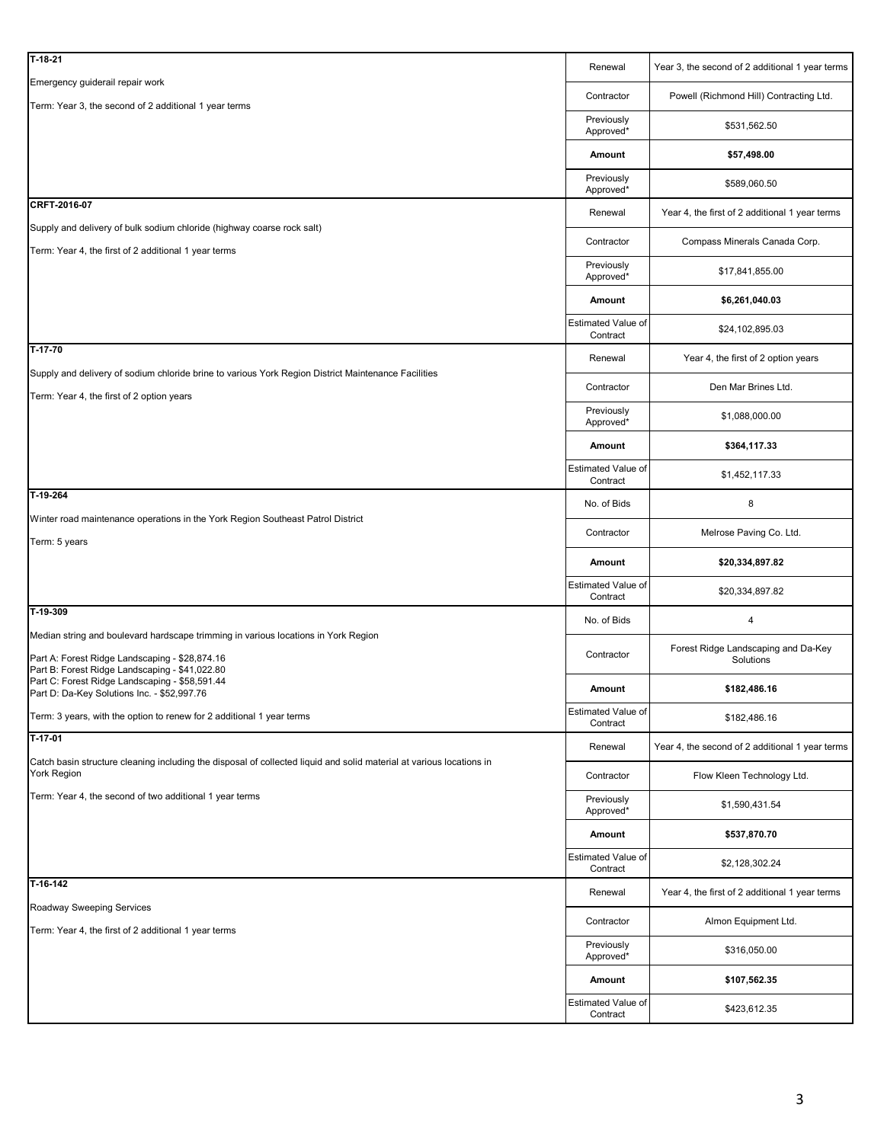| Emergency guiderail repair work<br>Powell (Richmond Hill) Contracting Ltd.<br>Contractor<br>Term: Year 3, the second of 2 additional 1 year terms<br>Previously<br>\$531,562.50<br>Approved*<br>Amount<br>\$57,498.00 |  |
|-----------------------------------------------------------------------------------------------------------------------------------------------------------------------------------------------------------------------|--|
|                                                                                                                                                                                                                       |  |
|                                                                                                                                                                                                                       |  |
|                                                                                                                                                                                                                       |  |
| Previously<br>\$589,060.50<br>Approved*                                                                                                                                                                               |  |
| CRFT-2016-07<br>Renewal<br>Year 4, the first of 2 additional 1 year terms                                                                                                                                             |  |
| Supply and delivery of bulk sodium chloride (highway coarse rock salt)<br>Compass Minerals Canada Corp.<br>Contractor                                                                                                 |  |
| Term: Year 4, the first of 2 additional 1 year terms<br>Previously<br>\$17,841,855.00                                                                                                                                 |  |
| Approved*<br>Amount<br>\$6,261,040.03                                                                                                                                                                                 |  |
| Estimated Value of<br>\$24,102,895.03<br>Contract                                                                                                                                                                     |  |
| $T-17-70$<br>Renewal<br>Year 4, the first of 2 option years                                                                                                                                                           |  |
| Supply and delivery of sodium chloride brine to various York Region District Maintenance Facilities<br>Den Mar Brines Ltd.<br>Contractor                                                                              |  |
| Term: Year 4, the first of 2 option years<br>Previously<br>\$1,088,000.00                                                                                                                                             |  |
| Approved*<br>Amount<br>\$364,117.33                                                                                                                                                                                   |  |
| Estimated Value of<br>\$1,452,117.33<br>Contract                                                                                                                                                                      |  |
| T-19-264<br>No. of Bids<br>8                                                                                                                                                                                          |  |
| Winter road maintenance operations in the York Region Southeast Patrol District<br>Melrose Paving Co. Ltd.<br>Contractor                                                                                              |  |
| Term: 5 years<br>Amount<br>\$20,334,897.82                                                                                                                                                                            |  |
| Estimated Value of<br>\$20,334,897.82                                                                                                                                                                                 |  |
| Contract<br>T-19-309                                                                                                                                                                                                  |  |
| 4<br>No. of Bids<br>Median string and boulevard hardscape trimming in various locations in York Region                                                                                                                |  |
| Forest Ridge Landscaping and Da-Key<br>Contractor<br>Part A: Forest Ridge Landscaping - \$28,874.16<br>Solutions<br>Part B: Forest Ridge Landscaping - \$41,022.80                                                    |  |
| Part C: Forest Ridge Landscaping - \$58,591.44<br>\$182,486.16<br>Amount<br>Part D: Da-Key Solutions Inc. - \$52,997.76                                                                                               |  |
| Estimated Value of<br>Term: 3 years, with the option to renew for 2 additional 1 year terms<br>\$182,486.16<br>Contract                                                                                               |  |
| T-17-01<br>Year 4, the second of 2 additional 1 year terms<br>Renewal                                                                                                                                                 |  |
| Catch basin structure cleaning including the disposal of collected liquid and solid material at various locations in<br>York Region<br>Contractor<br>Flow Kleen Technology Ltd.                                       |  |
| Term: Year 4, the second of two additional 1 year terms<br>Previously<br>\$1,590,431.54<br>Approved*                                                                                                                  |  |
| Amount<br>\$537,870.70                                                                                                                                                                                                |  |
| <b>Estimated Value of</b><br>\$2,128,302.24<br>Contract                                                                                                                                                               |  |
| T-16-142<br>Renewal<br>Year 4, the first of 2 additional 1 year terms                                                                                                                                                 |  |
| Roadway Sweeping Services<br>Contractor<br>Almon Equipment Ltd.                                                                                                                                                       |  |
| Term: Year 4, the first of 2 additional 1 year terms<br>Previously<br>\$316,050.00<br>Approved*                                                                                                                       |  |
| Amount<br>\$107,562.35                                                                                                                                                                                                |  |
| Estimated Value of<br>\$423,612.35<br>Contract                                                                                                                                                                        |  |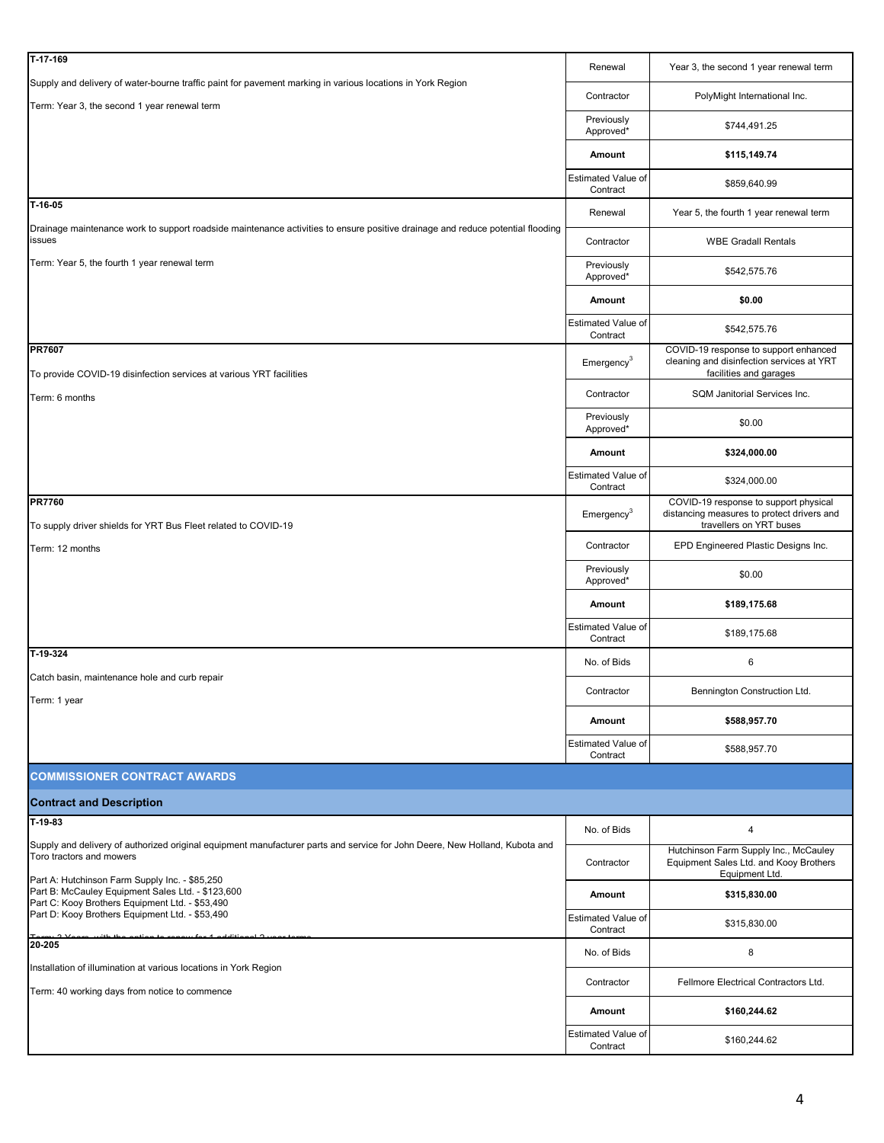| T-17-169                                                                                                                                                | Renewal                               | Year 3, the second 1 year renewal term                                                                         |
|---------------------------------------------------------------------------------------------------------------------------------------------------------|---------------------------------------|----------------------------------------------------------------------------------------------------------------|
| Supply and delivery of water-bourne traffic paint for pavement marking in various locations in York Region                                              | Contractor                            | PolyMight International Inc.                                                                                   |
| Term: Year 3, the second 1 year renewal term                                                                                                            | Previously<br>Approved*               | \$744,491.25                                                                                                   |
|                                                                                                                                                         | Amount                                | \$115,149.74                                                                                                   |
|                                                                                                                                                         | Estimated Value of                    | \$859,640.99                                                                                                   |
| $T-16-05$                                                                                                                                               | Contract<br>Renewal                   | Year 5, the fourth 1 year renewal term                                                                         |
| Drainage maintenance work to support roadside maintenance activities to ensure positive drainage and reduce potential flooding<br>issues                | Contractor                            | <b>WBE Gradall Rentals</b>                                                                                     |
| Term: Year 5, the fourth 1 year renewal term                                                                                                            | Previously                            | \$542,575.76                                                                                                   |
|                                                                                                                                                         | Approved*<br>Amount                   | \$0.00                                                                                                         |
|                                                                                                                                                         | Estimated Value of                    |                                                                                                                |
|                                                                                                                                                         | Contract                              | \$542,575.76                                                                                                   |
| <b>PR7607</b><br>To provide COVID-19 disinfection services at various YRT facilities                                                                    | Emergency <sup>3</sup>                | COVID-19 response to support enhanced<br>cleaning and disinfection services at YRT<br>facilities and garages   |
| Term: 6 months                                                                                                                                          | Contractor                            | SQM Janitorial Services Inc.                                                                                   |
|                                                                                                                                                         | Previously<br>Approved*               | \$0.00                                                                                                         |
|                                                                                                                                                         | Amount                                | \$324,000.00                                                                                                   |
|                                                                                                                                                         | Estimated Value of<br>Contract        | \$324,000.00                                                                                                   |
| <b>PR7760</b><br>To supply driver shields for YRT Bus Fleet related to COVID-19                                                                         | $E$ mergency <sup>3</sup>             | COVID-19 response to support physical<br>distancing measures to protect drivers and<br>travellers on YRT buses |
| Term: 12 months                                                                                                                                         | Contractor                            | EPD Engineered Plastic Designs Inc.                                                                            |
|                                                                                                                                                         | Previously<br>Approved*               | \$0.00                                                                                                         |
|                                                                                                                                                         | Amount                                | \$189,175.68                                                                                                   |
|                                                                                                                                                         | Estimated Value of<br>Contract        | \$189,175.68                                                                                                   |
| T-19-324                                                                                                                                                | No. of Bids                           | 6                                                                                                              |
| Catch basin, maintenance hole and curb repair<br>Term: 1 year                                                                                           | Contractor                            | Bennington Construction Ltd.                                                                                   |
|                                                                                                                                                         | Amount                                | \$588,957.70                                                                                                   |
|                                                                                                                                                         | <b>Estimated Value of</b><br>Contract | \$588,957.70                                                                                                   |
| <b>COMMISSIONER CONTRACT AWARDS</b>                                                                                                                     |                                       |                                                                                                                |
| <b>Contract and Description</b>                                                                                                                         |                                       |                                                                                                                |
| T-19-83                                                                                                                                                 | No. of Bids                           | 4                                                                                                              |
| Supply and delivery of authorized original equipment manufacturer parts and service for John Deere, New Holland, Kubota and<br>Toro tractors and mowers | Contractor                            | Hutchinson Farm Supply Inc., McCauley<br>Equipment Sales Ltd. and Kooy Brothers                                |
| Part A: Hutchinson Farm Supply Inc. - \$85,250<br>Part B: McCauley Equipment Sales Ltd. - \$123,600                                                     | Amount                                | Equipment Ltd.<br>\$315,830.00                                                                                 |
| Part C: Kooy Brothers Equipment Ltd. - \$53,490<br>Part D: Kooy Brothers Equipment Ltd. - \$53,490                                                      | Estimated Value of<br>Contract        | \$315,830.00                                                                                                   |
| 20-205                                                                                                                                                  | No. of Bids                           | 8                                                                                                              |
| Installation of illumination at various locations in York Region                                                                                        | Contractor                            | Fellmore Electrical Contractors Ltd.                                                                           |
| Term: 40 working days from notice to commence                                                                                                           | Amount                                | \$160,244.62                                                                                                   |
|                                                                                                                                                         | Estimated Value of<br>Contract        | \$160,244.62                                                                                                   |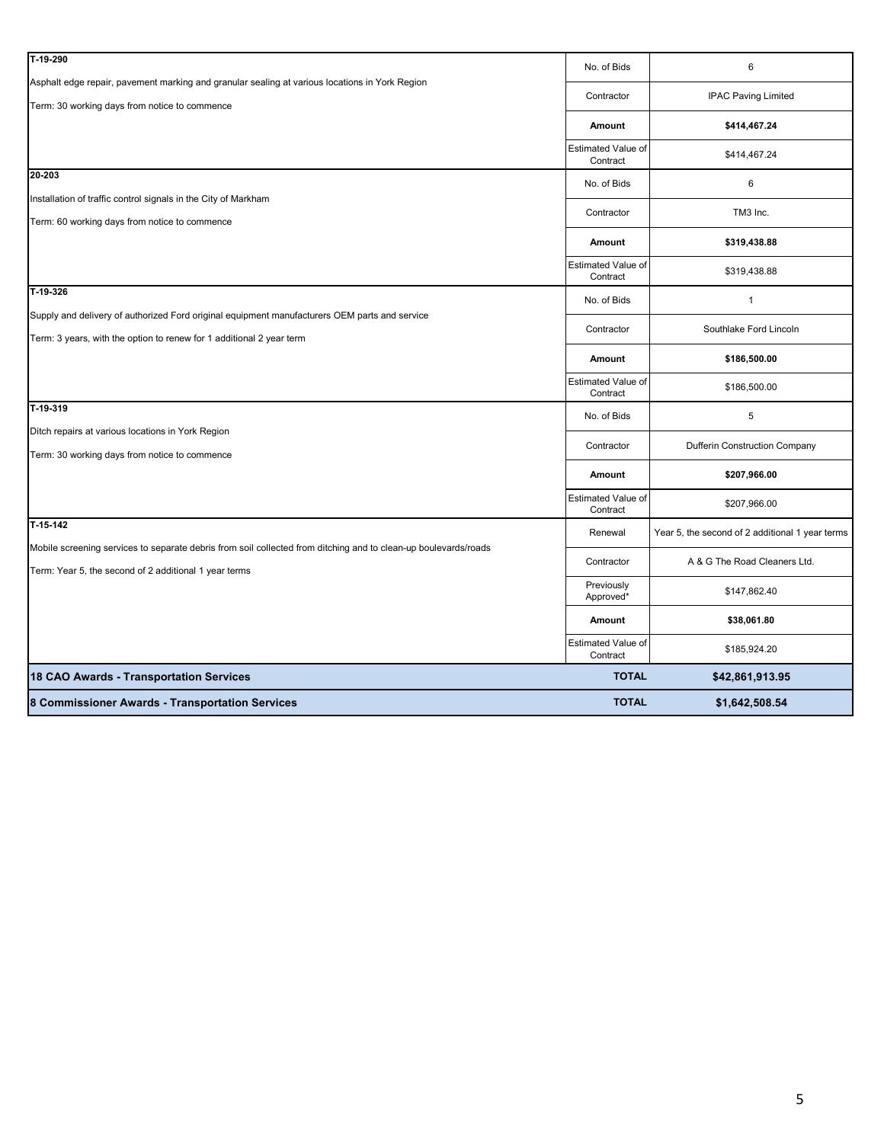| 8 Commissioner Awards - Transportation Services                                                                             | <b>TOTAL</b>                          | \$1,642,508.54                                  |
|-----------------------------------------------------------------------------------------------------------------------------|---------------------------------------|-------------------------------------------------|
| 18 CAO Awards - Transportation Services                                                                                     | <b>TOTAL</b>                          | \$42,861,913.95                                 |
|                                                                                                                             | Estimated Value of<br>Contract        | \$185,924.20                                    |
|                                                                                                                             | Amount                                | \$38,061.80                                     |
|                                                                                                                             | Previously<br>Approved*               | \$147,862.40                                    |
| Term: Year 5, the second of 2 additional 1 year terms                                                                       | Contractor                            | A & G The Road Cleaners Ltd.                    |
| T-15-142<br>Mobile screening services to separate debris from soil collected from ditching and to clean-up boulevards/roads | Renewal                               | Year 5, the second of 2 additional 1 year terms |
|                                                                                                                             | Estimated Value of<br>Contract        | \$207,966.00                                    |
|                                                                                                                             | Amount                                | \$207,966.00                                    |
| Term: 30 working days from notice to commence                                                                               | Contractor                            | <b>Dufferin Construction Company</b>            |
| T-19-319<br>Ditch repairs at various locations in York Region                                                               | No. of Bids                           | 5                                               |
|                                                                                                                             | <b>Estimated Value of</b><br>Contract | \$186,500.00                                    |
|                                                                                                                             | Amount                                | \$186,500.00                                    |
| Term: 3 years, with the option to renew for 1 additional 2 year term                                                        | Contractor                            | Southlake Ford Lincoln                          |
| T-19-326<br>Supply and delivery of authorized Ford original equipment manufacturers OEM parts and service                   | No. of Bids                           | $\mathbf{1}$                                    |
|                                                                                                                             | <b>Estimated Value of</b><br>Contract | \$319,438.88                                    |
|                                                                                                                             | Amount                                | \$319,438.88                                    |
| Term: 60 working days from notice to commence                                                                               | Contractor                            | TM3 Inc.                                        |
| 20-203<br>Installation of traffic control signals in the City of Markham                                                    | No. of Bids                           | $\,6$                                           |
|                                                                                                                             | <b>Estimated Value of</b><br>Contract | \$414,467.24                                    |
|                                                                                                                             | Amount                                | \$414,467.24                                    |
| Term: 30 working days from notice to commence                                                                               | Contractor                            | <b>IPAC Paving Limited</b>                      |
| T-19-290<br>Asphalt edge repair, pavement marking and granular sealing at various locations in York Region                  | No. of Bids                           | 6                                               |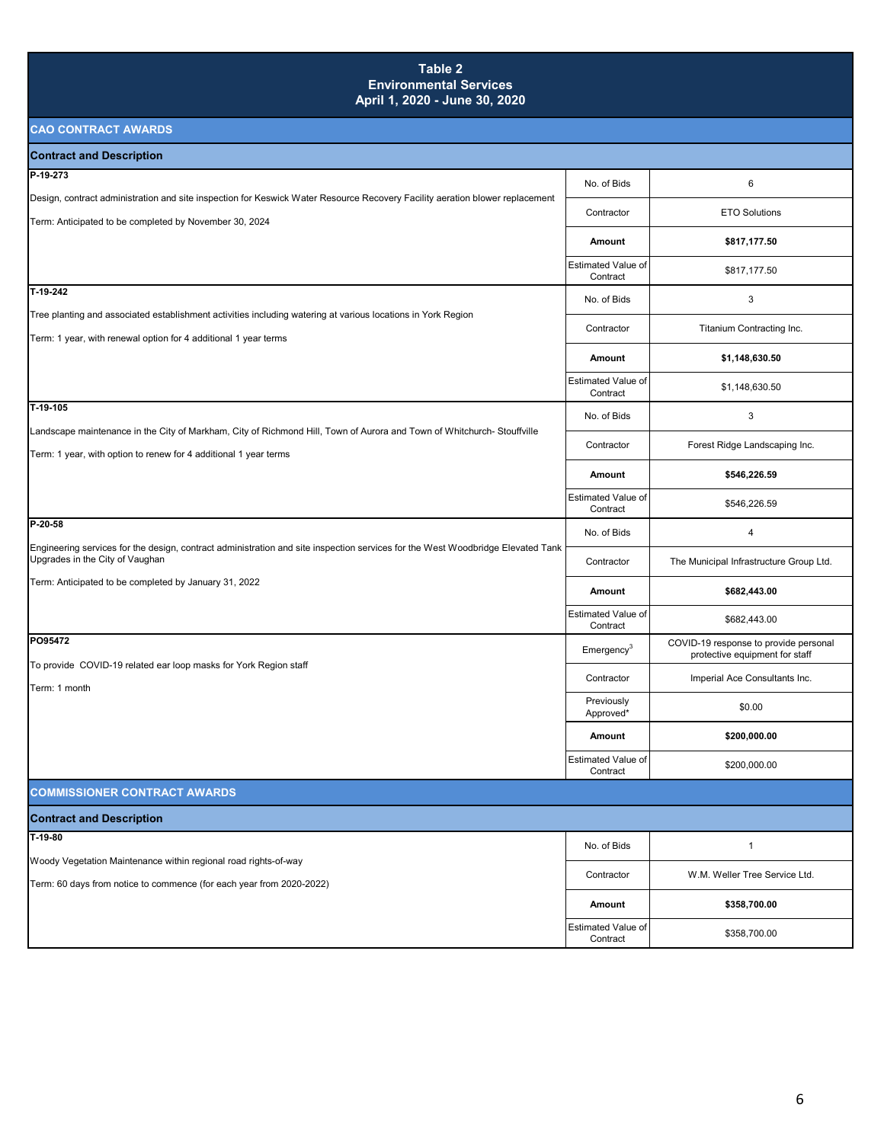### **Table 2 Environmental Services April 1, 2020 - June 30, 2020**

| <b>Contract and Description</b>                                                                                                                                                             |                                       |                                                                         |
|---------------------------------------------------------------------------------------------------------------------------------------------------------------------------------------------|---------------------------------------|-------------------------------------------------------------------------|
| P-19-273                                                                                                                                                                                    | No. of Bids                           | 6                                                                       |
| Design, contract administration and site inspection for Keswick Water Resource Recovery Facility aeration blower replacement<br>Term: Anticipated to be completed by November 30, 2024      | Contractor                            | <b>ETO Solutions</b>                                                    |
|                                                                                                                                                                                             | Amount                                | \$817,177.50                                                            |
|                                                                                                                                                                                             | <b>Estimated Value of</b><br>Contract | \$817,177.50                                                            |
| $T-19-242$                                                                                                                                                                                  | No. of Bids                           | $\mathbf 3$                                                             |
| Tree planting and associated establishment activities including watering at various locations in York Region<br>Term: 1 year, with renewal option for 4 additional 1 year terms             | Contractor                            | Titanium Contracting Inc.                                               |
|                                                                                                                                                                                             | Amount                                | \$1,148,630.50                                                          |
|                                                                                                                                                                                             | Estimated Value of<br>Contract        | \$1,148,630.50                                                          |
| T-19-105                                                                                                                                                                                    | No. of Bids                           | $\mathbf 3$                                                             |
| Landscape maintenance in the City of Markham, City of Richmond Hill, Town of Aurora and Town of Whitchurch- Stouffville<br>Term: 1 year, with option to renew for 4 additional 1 year terms | Contractor                            | Forest Ridge Landscaping Inc.                                           |
|                                                                                                                                                                                             | Amount                                | \$546,226.59                                                            |
|                                                                                                                                                                                             | <b>Estimated Value of</b><br>Contract | \$546,226.59                                                            |
| $P-20-58$                                                                                                                                                                                   | No. of Bids                           | $\overline{4}$                                                          |
| Engineering services for the design, contract administration and site inspection services for the West Woodbridge Elevated Tank<br>Upgrades in the City of Vaughan                          | Contractor                            | The Municipal Infrastructure Group Ltd.                                 |
| Term: Anticipated to be completed by January 31, 2022                                                                                                                                       | Amount                                | \$682,443.00                                                            |
|                                                                                                                                                                                             | <b>Estimated Value of</b><br>Contract | \$682,443.00                                                            |
| PO95472                                                                                                                                                                                     | Emergency <sup>3</sup>                | COVID-19 response to provide personal<br>protective equipment for staff |
| To provide COVID-19 related ear loop masks for York Region staff<br>Term: 1 month                                                                                                           | Contractor                            | Imperial Ace Consultants Inc.                                           |
|                                                                                                                                                                                             | Previously<br>Approved*               | \$0.00                                                                  |
|                                                                                                                                                                                             | Amount                                | \$200,000.00                                                            |
|                                                                                                                                                                                             | <b>Estimated Value of</b><br>Contract | \$200,000.00                                                            |
| <b>COMMISSIONER CONTRACT AWARDS</b>                                                                                                                                                         |                                       |                                                                         |
| <b>Contract and Description</b>                                                                                                                                                             |                                       |                                                                         |
| $T-19-80$                                                                                                                                                                                   | No. of Bids                           | $\mathbf{1}$                                                            |
| Woody Vegetation Maintenance within regional road rights-of-way                                                                                                                             | Contractor                            | W.M. Weller Tree Service Ltd.                                           |
| Term: 60 days from notice to commence (for each year from 2020-2022)                                                                                                                        | Amount                                | \$358,700.00                                                            |
|                                                                                                                                                                                             | Estimated Value of<br>Contract        | \$358,700.00                                                            |
|                                                                                                                                                                                             |                                       |                                                                         |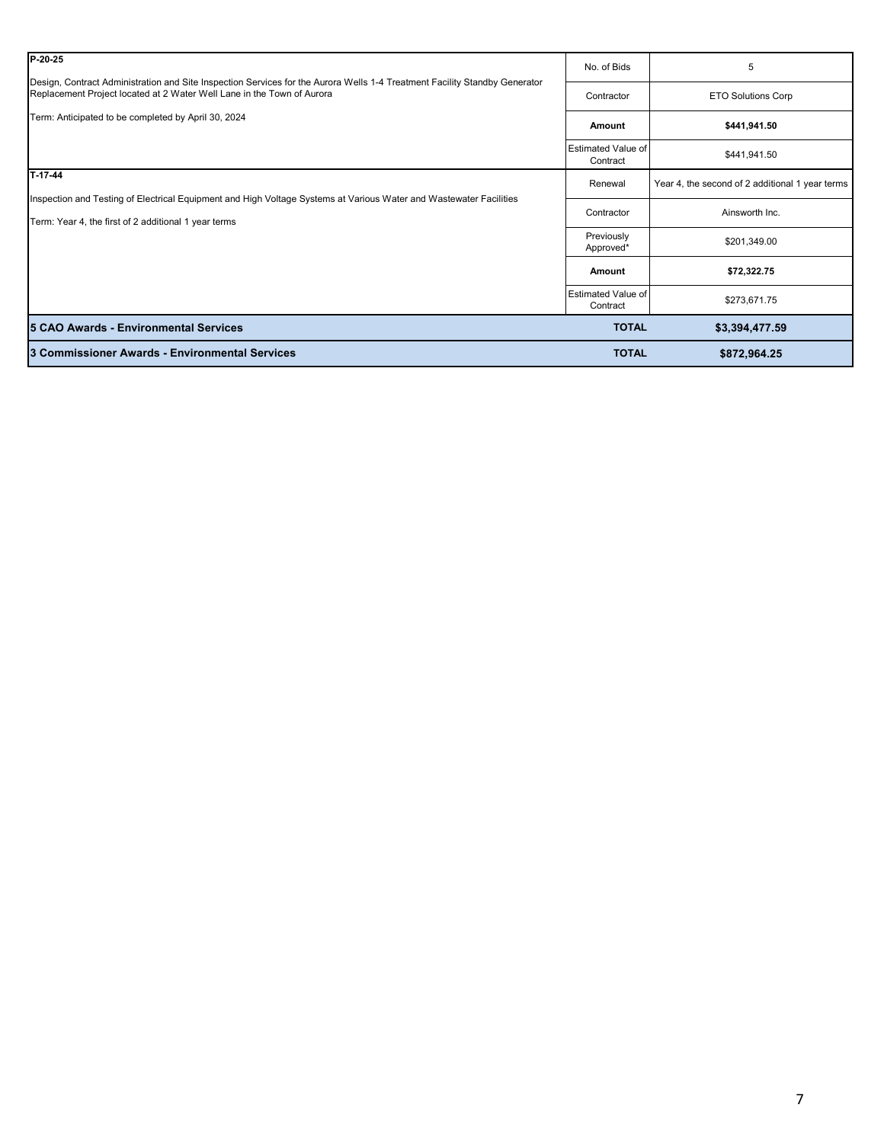| P-20-25                                                                                                                                                                                              | No. of Bids                           | 5                                               |
|------------------------------------------------------------------------------------------------------------------------------------------------------------------------------------------------------|---------------------------------------|-------------------------------------------------|
| Design, Contract Administration and Site Inspection Services for the Aurora Wells 1-4 Treatment Facility Standby Generator<br>Replacement Project located at 2 Water Well Lane in the Town of Aurora | Contractor                            | ETO Solutions Corp                              |
| Term: Anticipated to be completed by April 30, 2024                                                                                                                                                  | Amount                                | \$441,941.50                                    |
|                                                                                                                                                                                                      | <b>Estimated Value of</b><br>Contract | \$441,941.50                                    |
| $T-17-44$                                                                                                                                                                                            | Renewal                               | Year 4, the second of 2 additional 1 year terms |
| Inspection and Testing of Electrical Equipment and High Voltage Systems at Various Water and Wastewater Facilities<br>Term: Year 4, the first of 2 additional 1 year terms                           | Contractor                            | Ainsworth Inc.                                  |
|                                                                                                                                                                                                      | Previously<br>Approved*               | \$201,349.00                                    |
|                                                                                                                                                                                                      | Amount                                | \$72,322.75                                     |
|                                                                                                                                                                                                      | <b>Estimated Value of</b><br>Contract | \$273,671.75                                    |
| 5 CAO Awards - Environmental Services                                                                                                                                                                | <b>TOTAL</b>                          | \$3,394,477.59                                  |
| 3 Commissioner Awards - Environmental Services                                                                                                                                                       | <b>TOTAL</b>                          | \$872,964.25                                    |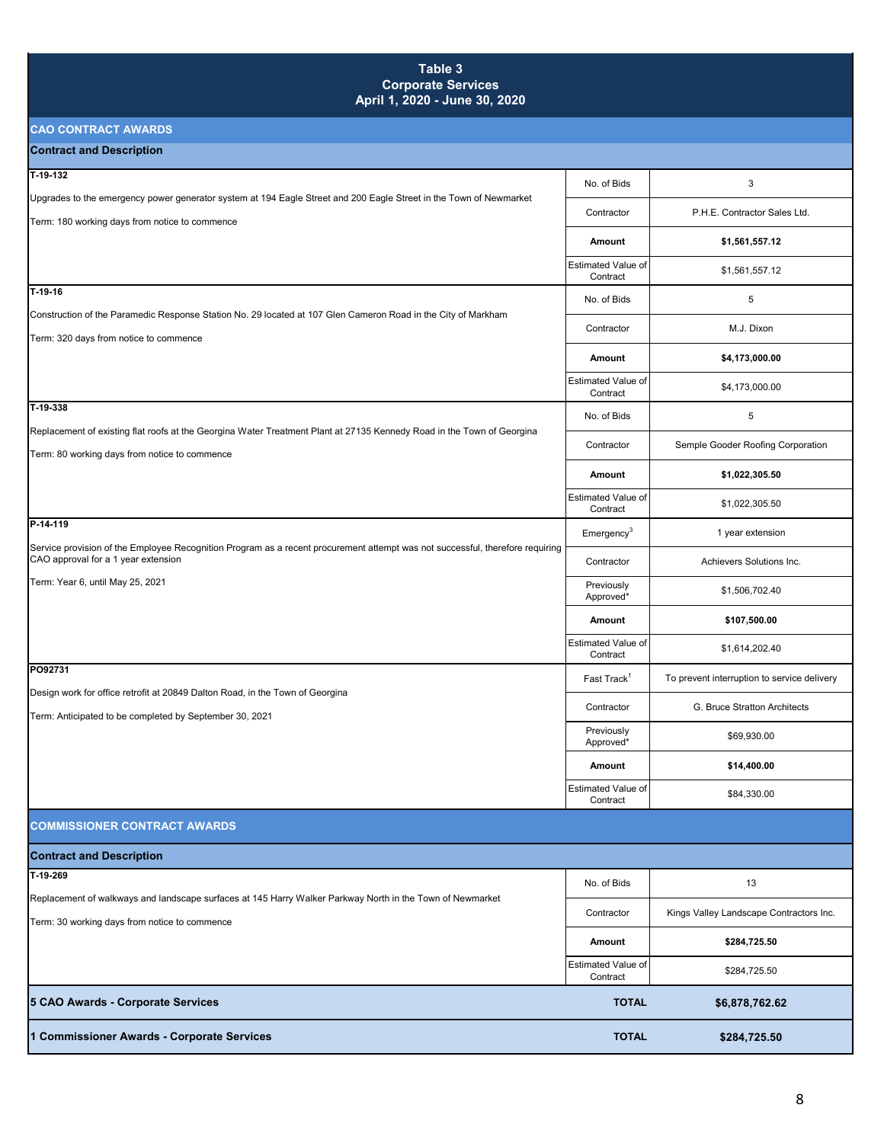### **Table 3 Corporate Services April 1, 2020 - June 30, 2020**

| -----------------                                                                                                                                                    |                                       |                                             |
|----------------------------------------------------------------------------------------------------------------------------------------------------------------------|---------------------------------------|---------------------------------------------|
| <b>Contract and Description</b>                                                                                                                                      |                                       |                                             |
| T-19-132                                                                                                                                                             | No. of Bids                           | 3                                           |
| Upgrades to the emergency power generator system at 194 Eagle Street and 200 Eagle Street in the Town of Newmarket<br>Term: 180 working days from notice to commence | Contractor                            | P.H.E. Contractor Sales Ltd.                |
|                                                                                                                                                                      | Amount                                | \$1,561,557.12                              |
|                                                                                                                                                                      | Estimated Value of<br>Contract        | \$1,561,557.12                              |
| $T-19-16$                                                                                                                                                            | No. of Bids                           | $\,$ 5 $\,$                                 |
| Construction of the Paramedic Response Station No. 29 located at 107 Glen Cameron Road in the City of Markham                                                        | Contractor                            | M.J. Dixon                                  |
| Term: 320 days from notice to commence                                                                                                                               | Amount                                | \$4,173,000.00                              |
|                                                                                                                                                                      | <b>Estimated Value of</b><br>Contract | \$4,173,000.00                              |
| T-19-338                                                                                                                                                             | No. of Bids                           | 5                                           |
| Replacement of existing flat roofs at the Georgina Water Treatment Plant at 27135 Kennedy Road in the Town of Georgina                                               | Contractor                            | Semple Gooder Roofing Corporation           |
| Term: 80 working days from notice to commence                                                                                                                        | Amount                                | \$1,022,305.50                              |
|                                                                                                                                                                      | <b>Estimated Value of</b><br>Contract | \$1,022,305.50                              |
| P-14-119                                                                                                                                                             | Emergency <sup>3</sup>                | 1 year extension                            |
| Service provision of the Employee Recognition Program as a recent procurement attempt was not successful, therefore requiring<br>CAO approval for a 1 year extension | Contractor                            | Achievers Solutions Inc.                    |
| Term: Year 6, until May 25, 2021                                                                                                                                     | Previously<br>Approved*               | \$1,506,702.40                              |
|                                                                                                                                                                      | Amount                                | \$107,500.00                                |
|                                                                                                                                                                      | <b>Estimated Value of</b><br>Contract | \$1,614,202.40                              |
| PO92731                                                                                                                                                              | Fast Track <sup>1</sup>               | To prevent interruption to service delivery |
| Design work for office retrofit at 20849 Dalton Road, in the Town of Georgina                                                                                        | Contractor                            | G. Bruce Stratton Architects                |
| Term: Anticipated to be completed by September 30, 2021                                                                                                              | Previously<br>Approved*               | \$69,930.00                                 |
|                                                                                                                                                                      | Amount                                | \$14,400.00                                 |
|                                                                                                                                                                      | Estimated Value of<br>Contract        | \$84,330.00                                 |
| <b>COMMISSIONER CONTRACT AWARDS</b>                                                                                                                                  |                                       |                                             |
| <b>Contract and Description</b>                                                                                                                                      |                                       |                                             |
| T-19-269                                                                                                                                                             | No. of Bids                           | 13                                          |
| Replacement of walkways and landscape surfaces at 145 Harry Walker Parkway North in the Town of Newmarket                                                            | Contractor                            | Kings Valley Landscape Contractors Inc.     |
| Term: 30 working days from notice to commence                                                                                                                        | Amount                                | \$284,725.50                                |
|                                                                                                                                                                      | Estimated Value of                    | \$284,725.50                                |
|                                                                                                                                                                      | Contract                              |                                             |
| 5 CAO Awards - Corporate Services                                                                                                                                    | <b>TOTAL</b>                          | \$6,878,762.62                              |
| 1 Commissioner Awards - Corporate Services                                                                                                                           | <b>TOTAL</b>                          | \$284,725.50                                |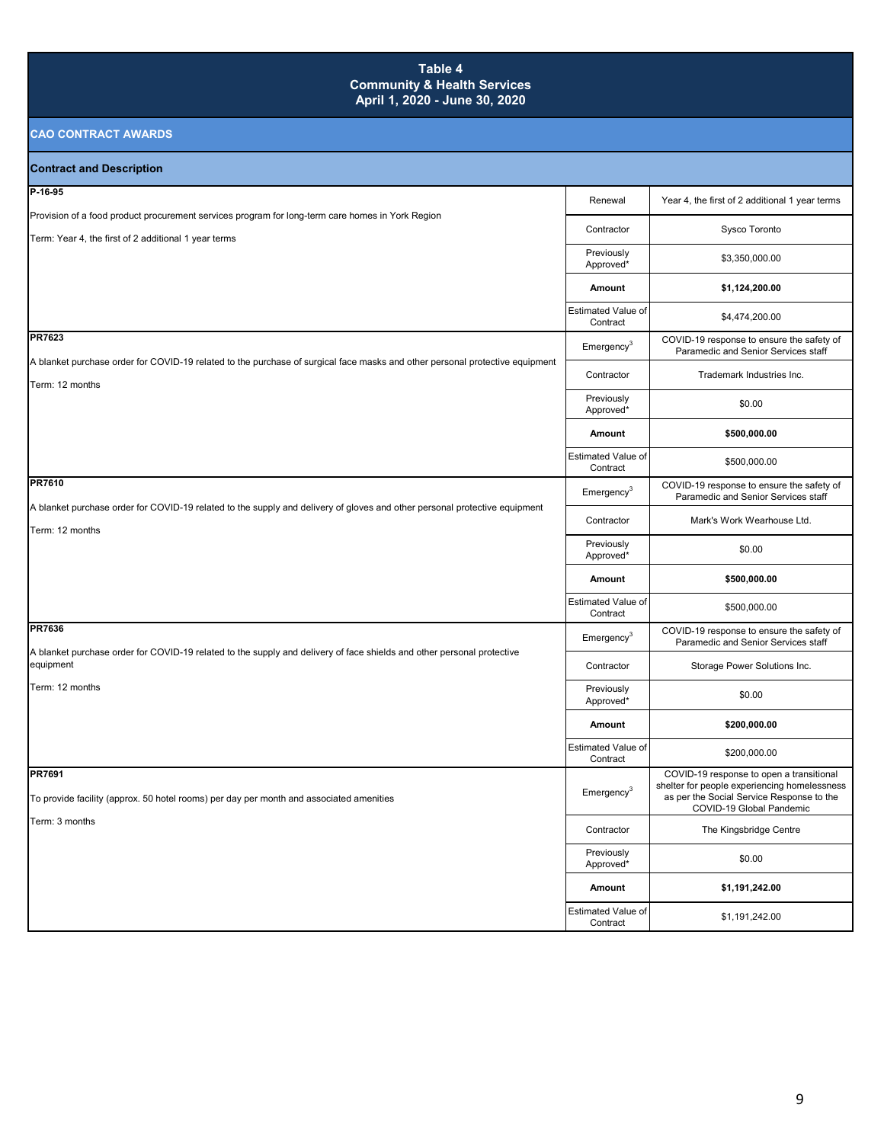### **Table 4 Community & Health Services April 1, 2020 - June 30, 2020**

| <b>Contract and Description</b>                                                                                                                 |                                       |                                                                                                                                                                   |
|-------------------------------------------------------------------------------------------------------------------------------------------------|---------------------------------------|-------------------------------------------------------------------------------------------------------------------------------------------------------------------|
| P-16-95                                                                                                                                         | Renewal                               | Year 4, the first of 2 additional 1 year terms                                                                                                                    |
| Provision of a food product procurement services program for long-term care homes in York Region                                                |                                       |                                                                                                                                                                   |
| Term: Year 4, the first of 2 additional 1 year terms                                                                                            | Contractor                            | Sysco Toronto                                                                                                                                                     |
|                                                                                                                                                 | Previously<br>Approved*               | \$3,350,000.00                                                                                                                                                    |
|                                                                                                                                                 | Amount                                | \$1,124,200.00                                                                                                                                                    |
|                                                                                                                                                 | <b>Estimated Value of</b><br>Contract | \$4,474,200.00                                                                                                                                                    |
| PR7623                                                                                                                                          | $\mathsf{Emergency}^3$                | COVID-19 response to ensure the safety of<br>Paramedic and Senior Services staff                                                                                  |
| A blanket purchase order for COVID-19 related to the purchase of surgical face masks and other personal protective equipment<br>Term: 12 months | Contractor                            | Trademark Industries Inc.                                                                                                                                         |
|                                                                                                                                                 | Previously<br>Approved*               | \$0.00                                                                                                                                                            |
|                                                                                                                                                 | Amount                                | \$500,000.00                                                                                                                                                      |
|                                                                                                                                                 | Estimated Value of<br>Contract        | \$500,000.00                                                                                                                                                      |
| PR7610                                                                                                                                          | Emergency <sup>3</sup>                | COVID-19 response to ensure the safety of<br>Paramedic and Senior Services staff                                                                                  |
| A blanket purchase order for COVID-19 related to the supply and delivery of gloves and other personal protective equipment<br>Term: 12 months   | Contractor                            | Mark's Work Wearhouse Ltd.                                                                                                                                        |
|                                                                                                                                                 | Previously<br>Approved*               | \$0.00                                                                                                                                                            |
|                                                                                                                                                 | Amount                                | \$500,000.00                                                                                                                                                      |
|                                                                                                                                                 | Estimated Value of<br>Contract        | \$500,000.00                                                                                                                                                      |
| PR7636                                                                                                                                          | $E$ mergency <sup>3</sup>             | COVID-19 response to ensure the safety of<br>Paramedic and Senior Services staff                                                                                  |
| A blanket purchase order for COVID-19 related to the supply and delivery of face shields and other personal protective<br>equipment             | Contractor                            | Storage Power Solutions Inc.                                                                                                                                      |
| Term: 12 months                                                                                                                                 | Previously<br>Approved*               | \$0.00                                                                                                                                                            |
|                                                                                                                                                 | Amount                                | \$200,000.00                                                                                                                                                      |
|                                                                                                                                                 | Estimated Value of<br>Contract        | \$200,000.00                                                                                                                                                      |
| PR7691<br>To provide facility (approx. 50 hotel rooms) per day per month and associated amenities                                               | $E$ mergency <sup>3</sup>             | COVID-19 response to open a transitional<br>shelter for people experiencing homelessness<br>as per the Social Service Response to the<br>COVID-19 Global Pandemic |
| Term: 3 months                                                                                                                                  | Contractor                            | The Kingsbridge Centre                                                                                                                                            |
|                                                                                                                                                 | Previously<br>Approved*               | \$0.00                                                                                                                                                            |
|                                                                                                                                                 | Amount                                | \$1,191,242.00                                                                                                                                                    |
|                                                                                                                                                 | Estimated Value of<br>Contract        | \$1,191,242.00                                                                                                                                                    |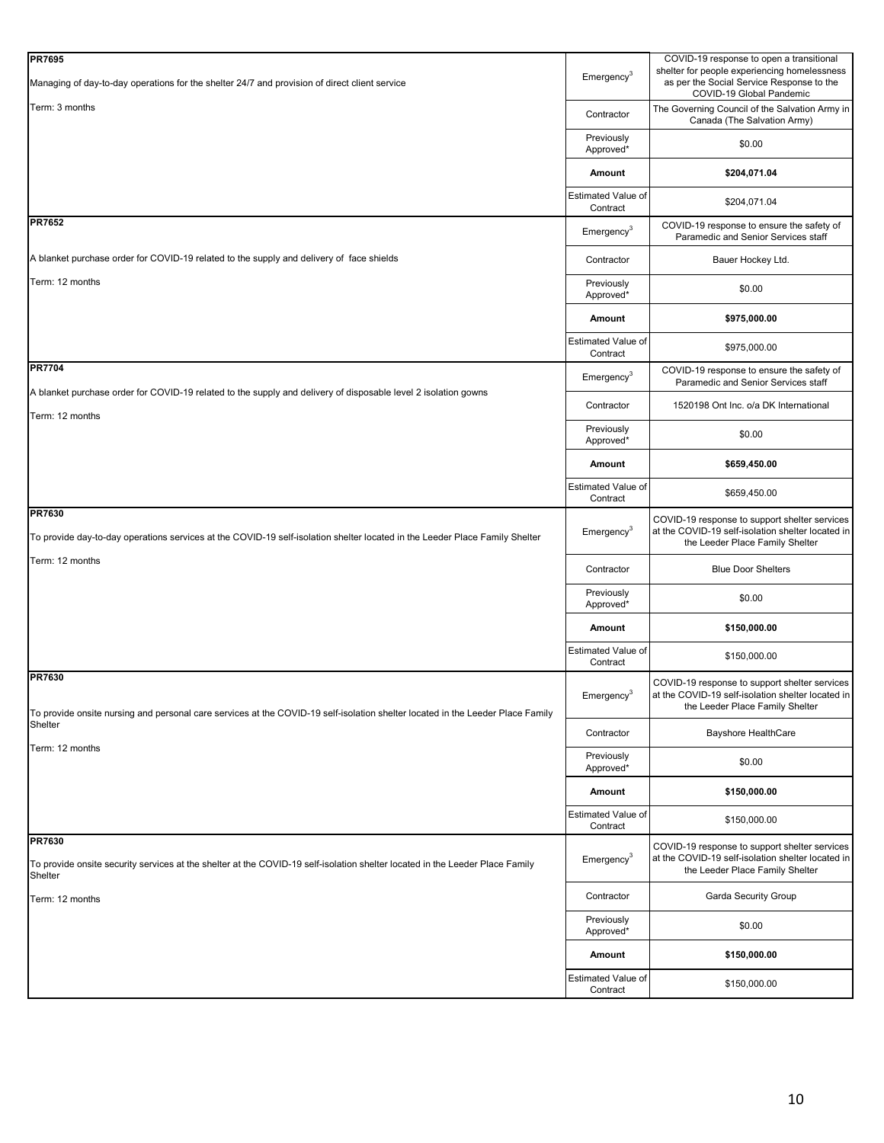| <b>PR7695</b>                                                                                                                                     |                                       | COVID-19 response to open a transitional                                                                                              |
|---------------------------------------------------------------------------------------------------------------------------------------------------|---------------------------------------|---------------------------------------------------------------------------------------------------------------------------------------|
| Managing of day-to-day operations for the shelter 24/7 and provision of direct client service                                                     | $E$ mergency <sup>3</sup>             | shelter for people experiencing homelessness<br>as per the Social Service Response to the<br>COVID-19 Global Pandemic                 |
| Term: 3 months                                                                                                                                    | Contractor                            | The Governing Council of the Salvation Army in<br>Canada (The Salvation Army)                                                         |
|                                                                                                                                                   | Previously<br>Approved*               | \$0.00                                                                                                                                |
|                                                                                                                                                   | Amount                                | \$204,071.04                                                                                                                          |
|                                                                                                                                                   | Estimated Value of<br>Contract        | \$204,071.04                                                                                                                          |
| <b>PR7652</b>                                                                                                                                     | Emergency <sup>3</sup>                | COVID-19 response to ensure the safety of<br>Paramedic and Senior Services staff                                                      |
| A blanket purchase order for COVID-19 related to the supply and delivery of face shields                                                          | Contractor                            | Bauer Hockey Ltd.                                                                                                                     |
| Term: 12 months                                                                                                                                   | Previously<br>Approved*               | \$0.00                                                                                                                                |
|                                                                                                                                                   | Amount                                | \$975,000.00                                                                                                                          |
|                                                                                                                                                   | Estimated Value of<br>Contract        | \$975,000.00                                                                                                                          |
| <b>PR7704</b>                                                                                                                                     | Emergency <sup>3</sup>                | COVID-19 response to ensure the safety of<br>Paramedic and Senior Services staff                                                      |
| A blanket purchase order for COVID-19 related to the supply and delivery of disposable level 2 isolation gowns<br>Term: 12 months                 | Contractor                            | 1520198 Ont Inc. o/a DK International                                                                                                 |
|                                                                                                                                                   | Previously<br>Approved*               | \$0.00                                                                                                                                |
|                                                                                                                                                   | Amount                                | \$659,450.00                                                                                                                          |
|                                                                                                                                                   | <b>Estimated Value of</b><br>Contract | \$659,450.00                                                                                                                          |
| PR7630<br>To provide day-to-day operations services at the COVID-19 self-isolation shelter located in the Leeder Place Family Shelter             | Emergency <sup>3</sup>                | COVID-19 response to support shelter services<br>at the COVID-19 self-isolation shelter located in<br>the Leeder Place Family Shelter |
| Term: 12 months                                                                                                                                   | Contractor                            | <b>Blue Door Shelters</b>                                                                                                             |
|                                                                                                                                                   | Previously<br>Approved*               | \$0.00                                                                                                                                |
|                                                                                                                                                   | Amount                                | \$150,000.00                                                                                                                          |
|                                                                                                                                                   | Estimated Value of<br>Contract        | \$150,000.00                                                                                                                          |
| <b>PR7630</b><br>To provide onsite nursing and personal care services at the COVID-19 self-isolation shelter located in the Leeder Place Family   | $E$ mergency <sup>3</sup>             | COVID-19 response to support shelter services<br>at the COVID-19 self-isolation shelter located in<br>the Leeder Place Family Shelter |
| Shelter<br>Term: 12 months                                                                                                                        | Contractor                            | Bayshore HealthCare                                                                                                                   |
|                                                                                                                                                   | Previously<br>Approved*               | \$0.00                                                                                                                                |
|                                                                                                                                                   | Amount                                | \$150,000.00                                                                                                                          |
|                                                                                                                                                   | Estimated Value of<br>Contract        | \$150,000.00                                                                                                                          |
| PR7630<br>To provide onsite security services at the shelter at the COVID-19 self-isolation shelter located in the Leeder Place Family<br>Shelter | Emergency <sup>3</sup>                | COVID-19 response to support shelter services<br>at the COVID-19 self-isolation shelter located in<br>the Leeder Place Family Shelter |
| Term: 12 months                                                                                                                                   | Contractor                            | Garda Security Group                                                                                                                  |
|                                                                                                                                                   | Previously<br>Approved*               | \$0.00                                                                                                                                |
|                                                                                                                                                   | Amount                                | \$150,000.00                                                                                                                          |
|                                                                                                                                                   | Estimated Value of<br>Contract        | \$150,000.00                                                                                                                          |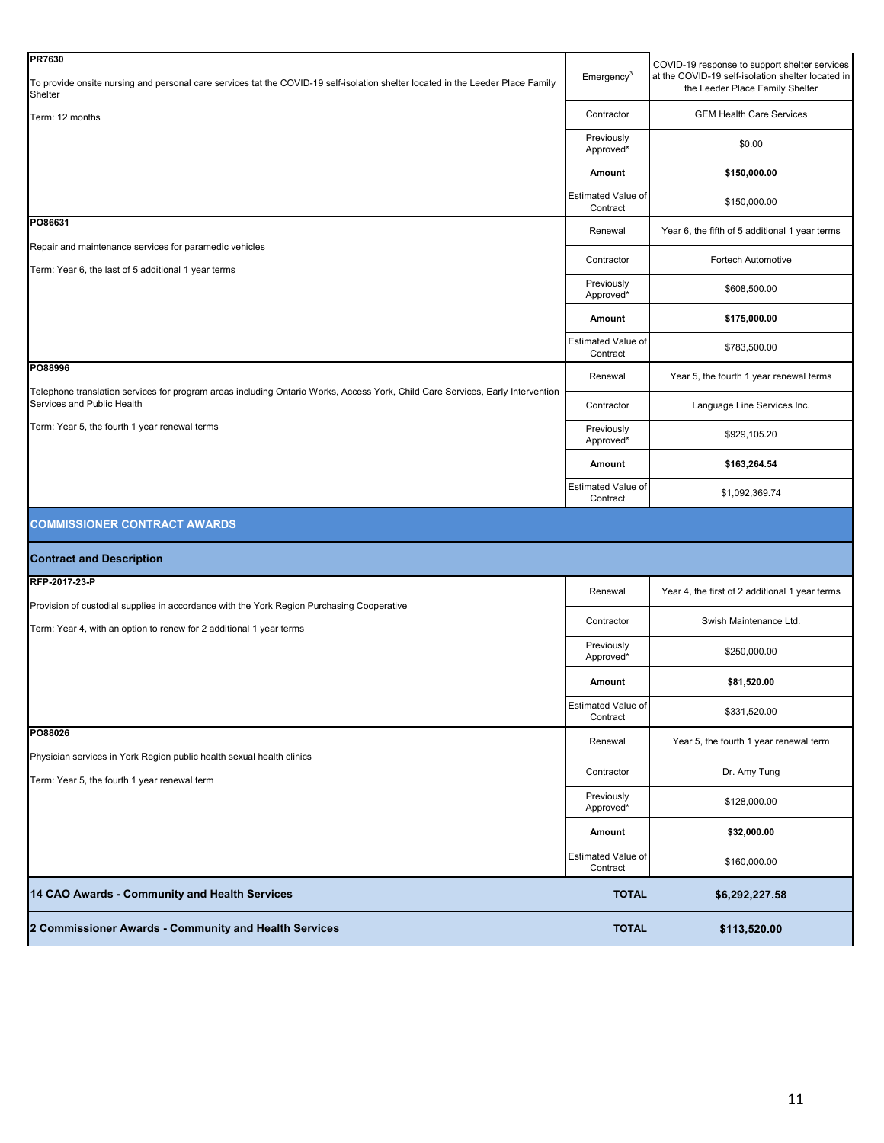| <b>PR7630</b>                                                                                                                                                |                                | COVID-19 response to support shelter services                                        |
|--------------------------------------------------------------------------------------------------------------------------------------------------------------|--------------------------------|--------------------------------------------------------------------------------------|
| To provide onsite nursing and personal care services tat the COVID-19 self-isolation shelter located in the Leeder Place Family<br>Shelter                   | $E$ mergency <sup>3</sup>      | at the COVID-19 self-isolation shelter located in<br>the Leeder Place Family Shelter |
| Term: 12 months                                                                                                                                              | Contractor                     | <b>GEM Health Care Services</b>                                                      |
|                                                                                                                                                              | Previously<br>Approved*        | \$0.00                                                                               |
|                                                                                                                                                              | Amount                         | \$150,000.00                                                                         |
|                                                                                                                                                              | Estimated Value of<br>Contract | \$150,000.00                                                                         |
| PO86631                                                                                                                                                      | Renewal                        | Year 6, the fifth of 5 additional 1 year terms                                       |
| Repair and maintenance services for paramedic vehicles                                                                                                       | Contractor                     | Fortech Automotive                                                                   |
| Term: Year 6, the last of 5 additional 1 year terms                                                                                                          | Previously<br>Approved*        | \$608,500.00                                                                         |
|                                                                                                                                                              | Amount                         | \$175,000.00                                                                         |
|                                                                                                                                                              | Estimated Value of<br>Contract | \$783,500.00                                                                         |
| PO88996                                                                                                                                                      | Renewal                        | Year 5, the fourth 1 year renewal terms                                              |
| Telephone translation services for program areas including Ontario Works, Access York, Child Care Services, Early Intervention<br>Services and Public Health | Contractor                     | Language Line Services Inc.                                                          |
| Term: Year 5, the fourth 1 year renewal terms                                                                                                                | Previously<br>Approved*        | \$929,105.20                                                                         |
|                                                                                                                                                              | Amount                         | \$163,264.54                                                                         |
|                                                                                                                                                              | Estimated Value of<br>Contract | \$1,092,369.74                                                                       |
| <b>COMMISSIONER CONTRACT AWARDS</b>                                                                                                                          |                                |                                                                                      |
| <b>Contract and Description</b>                                                                                                                              |                                |                                                                                      |
| RFP-2017-23-P                                                                                                                                                | Renewal                        |                                                                                      |
|                                                                                                                                                              |                                | Year 4, the first of 2 additional 1 year terms                                       |
| Provision of custodial supplies in accordance with the York Region Purchasing Cooperative                                                                    |                                |                                                                                      |
| Term: Year 4, with an option to renew for 2 additional 1 year terms                                                                                          | Contractor                     | Swish Maintenance Ltd.                                                               |
|                                                                                                                                                              | Previously<br>Approved*        | \$250,000.00                                                                         |
|                                                                                                                                                              | Amount                         | \$81,520.00                                                                          |
|                                                                                                                                                              | Estimated Value of<br>Contract | \$331,520.00                                                                         |
| PO88026                                                                                                                                                      | Renewal                        | Year 5, the fourth 1 year renewal term                                               |
| Physician services in York Region public health sexual health clinics<br>Term: Year 5, the fourth 1 year renewal term                                        | Contractor                     | Dr. Amy Tung                                                                         |
|                                                                                                                                                              | Previously<br>Approved*        | \$128,000.00                                                                         |
|                                                                                                                                                              | Amount                         | \$32,000.00                                                                          |
|                                                                                                                                                              | Estimated Value of<br>Contract | \$160,000.00                                                                         |
| 14 CAO Awards - Community and Health Services                                                                                                                | <b>TOTAL</b>                   | \$6,292,227.58                                                                       |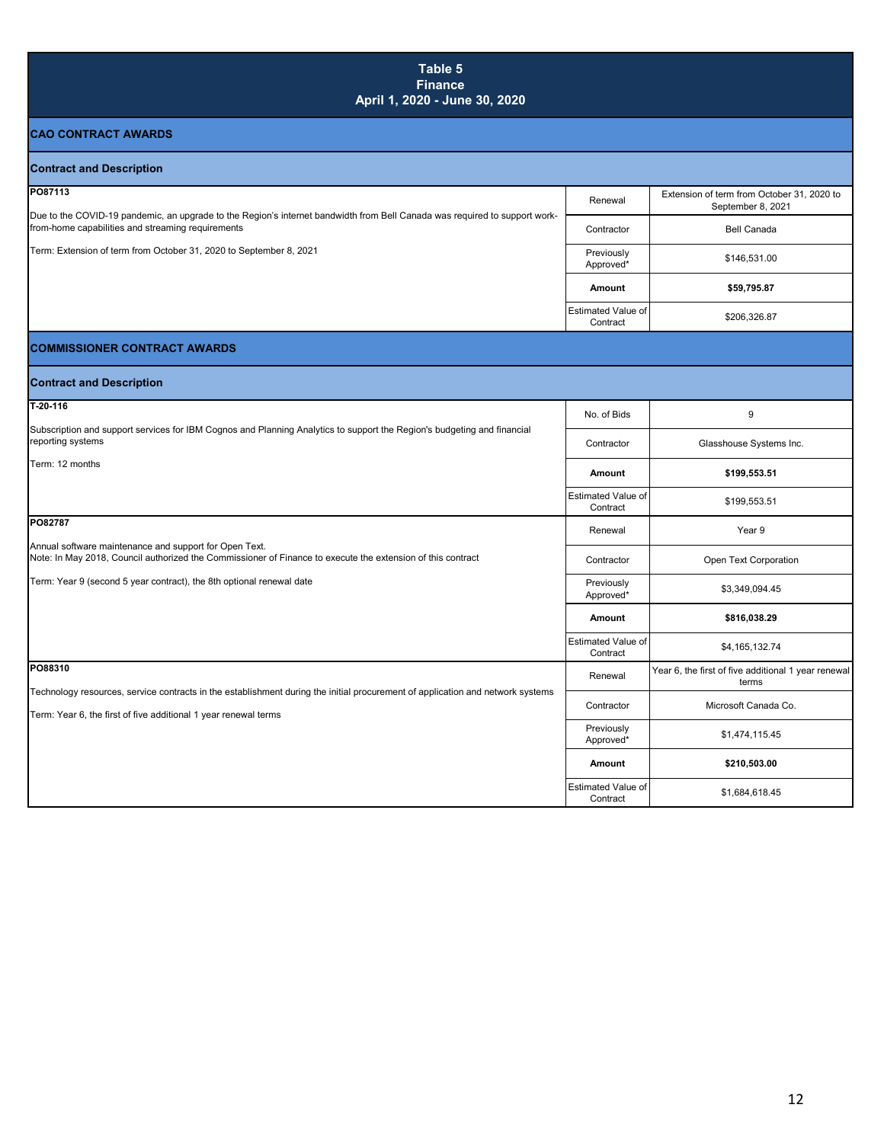### **CAO CONTRACT AWARDS Contract and Description** Renewal Extension of term from October 31, 2020 to September 8, 2021 Contractor **Bell Canada** Previously \$146,531.00<br>Approved\* \$146,531.00 **Amount \$59,795.87 Estimated Value of**<br>Contract \$206,326.87 **COMMISSIONER CONTRACT AWARDS Contract and Description** No. of Bids 9 Contractor **Glasshouse Systems Inc. Amount \$199,553.51** Estimated Value of \$199,553.51 Renewal | Year 9 Contractor **Contractor** Open Text Corporation Previously Previously<br>Approved\* \$3,349,094.45 **Amount \$816,038.29** Estimated Value of \$4,165,132.74 Renewal Year 6, the first of five additional 1 year renewal terms Contractor | Microsoft Canada Co. Previously<br>Approved\*  $$1,474,115.45$ **Amount \$210,503.00** Estimated Value of<br>Contract \$1,684,618.45 **Table 5 Finance April 1, 2020 - June 30, 2020 PO87113** Due to the COVID-19 pandemic, an upgrade to the Region's internet bandwidth from Bell Canada was required to support workfrom-home capabilities and streaming requirements Term: Extension of term from October 31, 2020 to September 8, 2021 **PO88310** Technology resources, service contracts in the establishment during the initial procurement of application and network systems Term: Year 6, the first of five additional 1 year renewal terms **T-20-116** Subscription and support services for IBM Cognos and Planning Analytics to support the Region's budgeting and financial reporting systems Term: 12 months **PO82787** Annual software maintenance and support for Open Text. Note: In May 2018, Council authorized the Commissioner of Finance to execute the extension of this contract Term: Year 9 (second 5 year contract), the 8th optional renewal date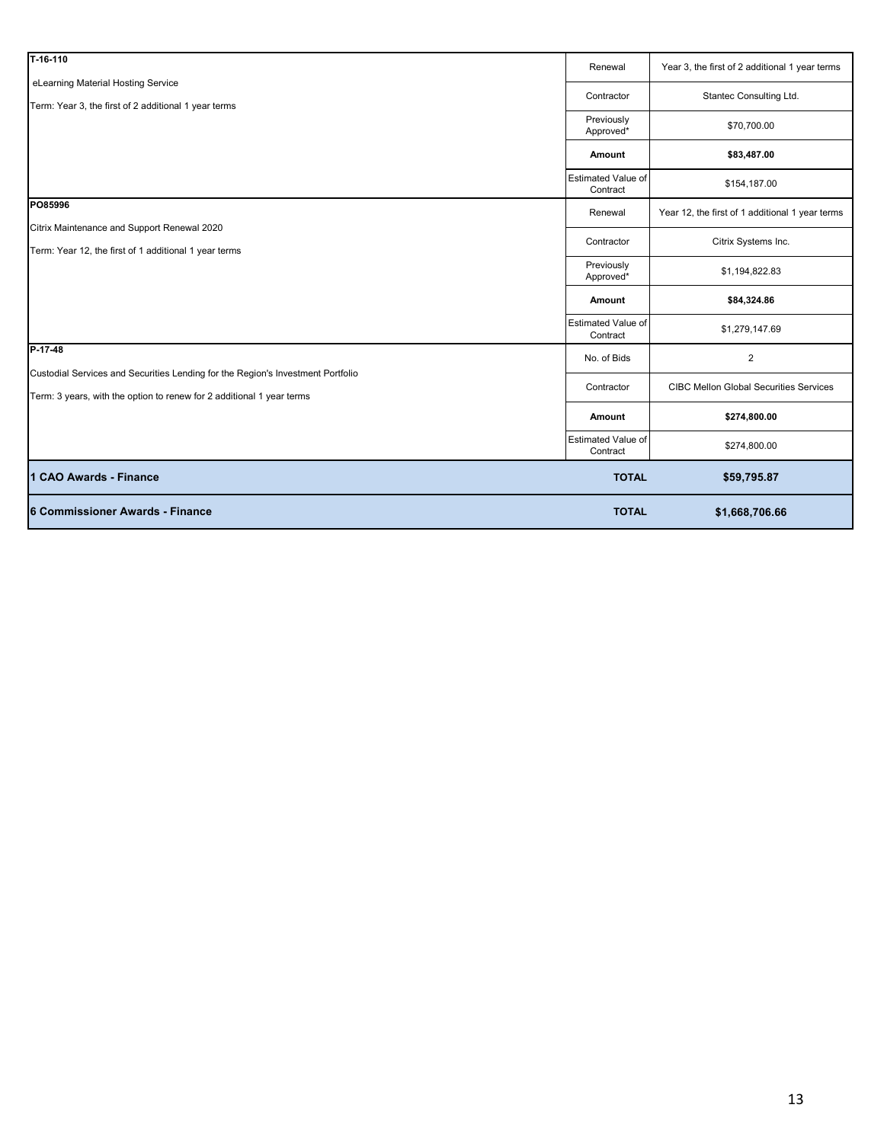| T-16-110                                                                                             | Renewal                               | Year 3, the first of 2 additional 1 year terms  |
|------------------------------------------------------------------------------------------------------|---------------------------------------|-------------------------------------------------|
| eLearning Material Hosting Service<br>Term: Year 3, the first of 2 additional 1 year terms           | Contractor                            | Stantec Consulting Ltd.                         |
|                                                                                                      | Previously<br>Approved*               | \$70,700.00                                     |
|                                                                                                      | Amount                                | \$83,487.00                                     |
|                                                                                                      | <b>Estimated Value of</b><br>Contract | \$154,187.00                                    |
| PO85996                                                                                              | Renewal                               | Year 12, the first of 1 additional 1 year terms |
| Citrix Maintenance and Support Renewal 2020<br>Term: Year 12, the first of 1 additional 1 year terms | Contractor                            | Citrix Systems Inc.                             |
|                                                                                                      | Previously<br>Approved*               | \$1,194,822.83                                  |
|                                                                                                      |                                       |                                                 |
|                                                                                                      | Amount                                | \$84,324.86                                     |
|                                                                                                      | <b>Estimated Value of</b><br>Contract | \$1,279,147.69                                  |
| P-17-48                                                                                              | No. of Bids                           | $\overline{2}$                                  |
| Custodial Services and Securities Lending for the Region's Investment Portfolio                      | Contractor                            | <b>CIBC Mellon Global Securities Services</b>   |
| Term: 3 years, with the option to renew for 2 additional 1 year terms                                | Amount                                | \$274,800.00                                    |
|                                                                                                      | Estimated Value of<br>Contract        | \$274,800.00                                    |
| 1 CAO Awards - Finance                                                                               | <b>TOTAL</b>                          | \$59,795.87                                     |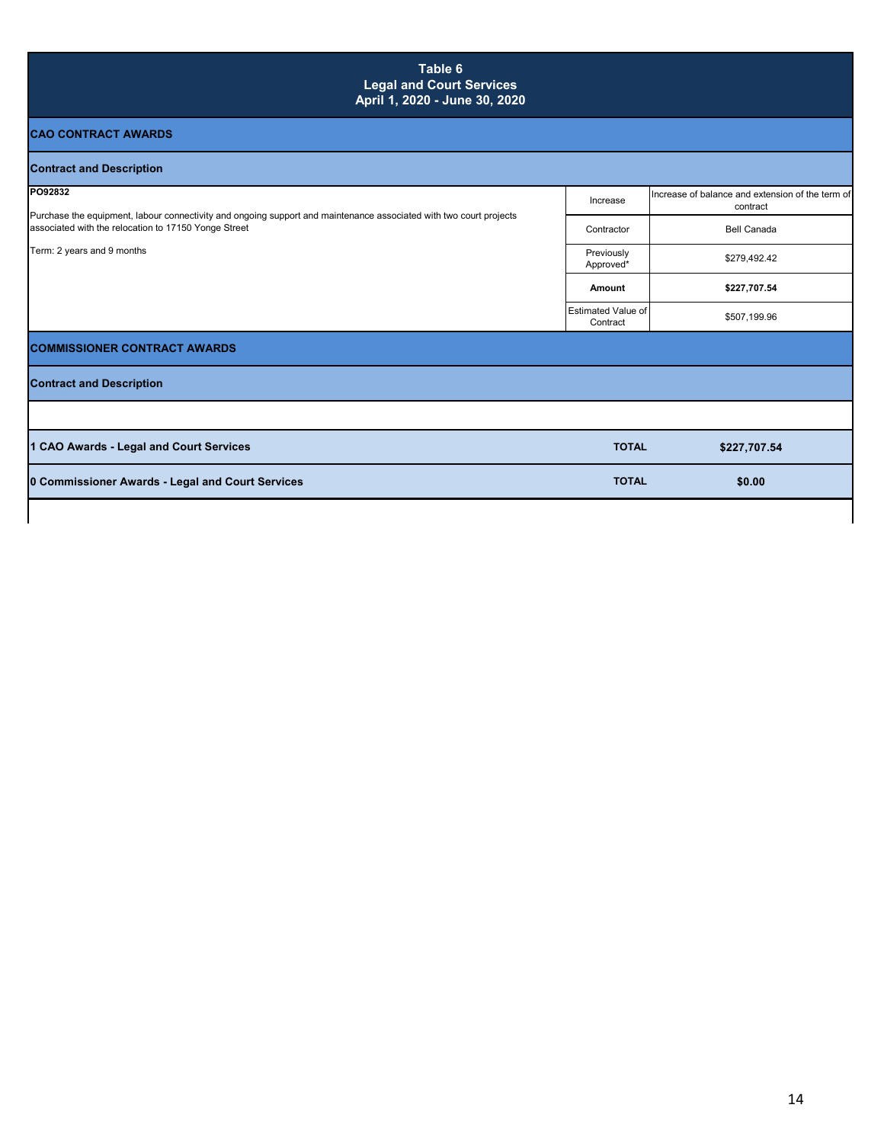| Table 6<br><b>Legal and Court Services</b><br>April 1, 2020 - June 30, 2020                                                                                                                                         |                                |                                                              |
|---------------------------------------------------------------------------------------------------------------------------------------------------------------------------------------------------------------------|--------------------------------|--------------------------------------------------------------|
| <b>CAO CONTRACT AWARDS</b>                                                                                                                                                                                          |                                |                                                              |
| <b>Contract and Description</b>                                                                                                                                                                                     |                                |                                                              |
| PO92832<br>Purchase the equipment, labour connectivity and ongoing support and maintenance associated with two court projects<br>associated with the relocation to 17150 Yonge Street<br>Term: 2 years and 9 months | Increase                       | Increase of balance and extension of the term of<br>contract |
|                                                                                                                                                                                                                     | Contractor                     | <b>Bell Canada</b>                                           |
|                                                                                                                                                                                                                     | Previously<br>Approved*        | \$279,492.42                                                 |
|                                                                                                                                                                                                                     | Amount                         | \$227,707.54                                                 |
|                                                                                                                                                                                                                     | Estimated Value of<br>Contract | \$507,199.96                                                 |
| <b>COMMISSIONER CONTRACT AWARDS</b>                                                                                                                                                                                 |                                |                                                              |
| <b>Contract and Description</b>                                                                                                                                                                                     |                                |                                                              |
|                                                                                                                                                                                                                     |                                |                                                              |
| 1 CAO Awards - Legal and Court Services                                                                                                                                                                             | <b>TOTAL</b>                   | \$227,707.54                                                 |
| 0 Commissioner Awards - Legal and Court Services                                                                                                                                                                    | <b>TOTAL</b>                   | \$0.00                                                       |
|                                                                                                                                                                                                                     |                                |                                                              |